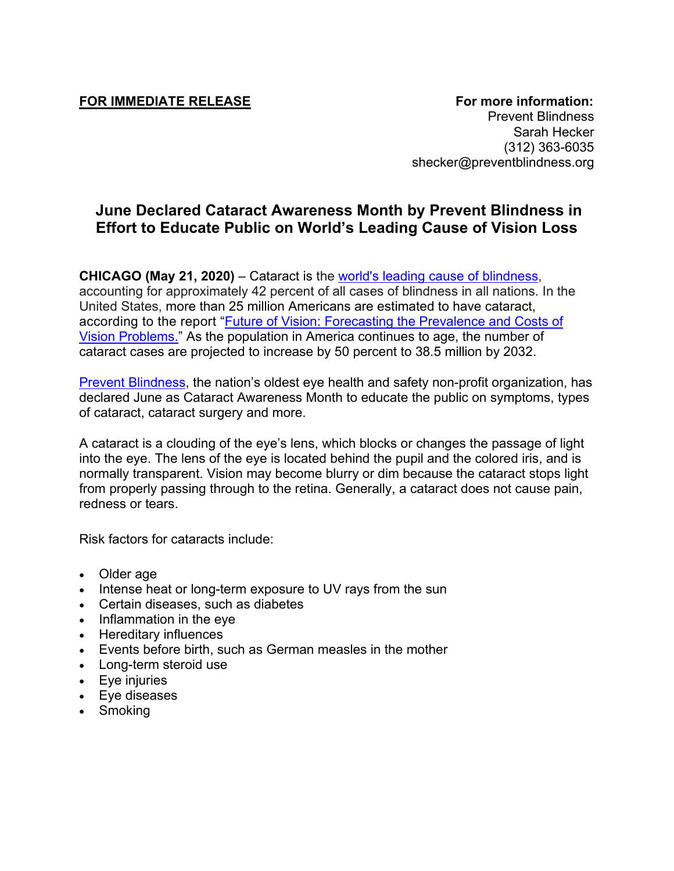Prevent Blindness Sarah Hecker (312) 363-6035 shecker@preventblindness.org

## **June Declared Cataract Awareness Month by Prevent Blindness in Effort to Educate Public on World's Leading Cause of Vision Loss**

**CHICAGO (May 21, 2020)** – Cataract is the [world's leading cause of blindness,](https://www.hopkinsmedicine.org/wilmer/conditions/cataracts_faq.html) accounting for approximately 42 percent of all cases of blindness in all nations. In the United States, more than 25 million Americans are estimated to have cataract, according to the report ["Future of Vision: Forecasting the Prevalence and Costs of](https://preventblindness.org/the-future-of-vision/)  [Vision Problems.](https://preventblindness.org/the-future-of-vision/)" As the population in America continues to age, the number of cataract cases are projected to increase by 50 percent to 38.5 million by 2032.

[Prevent Blindness,](http://www.preventblindness.org/) the nation's oldest eye health and safety non-profit organization, has declared June as Cataract Awareness Month to educate the public on symptoms, types of cataract, cataract surgery and more.

A cataract is a clouding of the eye's lens, which blocks or changes the passage of light into the eye. The lens of the eye is located behind the pupil and the colored iris, and is normally transparent. Vision may become blurry or dim because the cataract stops light from properly passing through to the retina. Generally, a cataract does not cause pain, redness or tears.

Risk factors for cataracts include:

- Older age
- Intense heat or long-term exposure to UV rays from the sun
- Certain diseases, such as diabetes
- Inflammation in the eye
- Hereditary influences
- Events before birth, such as German measles in the mother
- Long-term steroid use
- Eye injuries
- Eye diseases
- Smoking